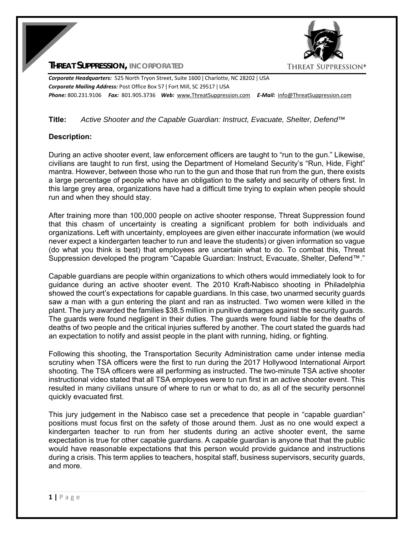**THREAT SUPPRESSION, INCORPORATED**



*Corporate Headquarters:* 525 North Tryon Street, Suite 1600 ǀ Charlotte, NC 28202 ǀ USA *Corporate Mailing Address:* Post Office Box 57 ǀ Fort Mill, SC 29517 ǀ USA *Phone:* 800.231.9106  *Fax:* 801.905.3736 *Web:* www.ThreatSuppression.com *E‐Mail:*  info@ThreatSuppression.com

## **Title:** *Active Shooter and the Capable Guardian: Instruct, Evacuate, Shelter, Defend™*

### **Description:**

During an active shooter event, law enforcement officers are taught to "run to the gun." Likewise, civilians are taught to run first, using the Department of Homeland Security's "Run, Hide, Fight" mantra. However, between those who run to the gun and those that run from the gun, there exists a large percentage of people who have an obligation to the safety and security of others first. In this large grey area, organizations have had a difficult time trying to explain when people should run and when they should stay.

After training more than 100,000 people on active shooter response, Threat Suppression found that this chasm of uncertainty is creating a significant problem for both individuals and organizations. Left with uncertainty, employees are given either inaccurate information (we would never expect a kindergarten teacher to run and leave the students) or given information so vague (do what you think is best) that employees are uncertain what to do. To combat this, Threat Suppression developed the program "Capable Guardian: Instruct, Evacuate, Shelter, Defend™."

Capable guardians are people within organizations to which others would immediately look to for guidance during an active shooter event. The 2010 Kraft-Nabisco shooting in Philadelphia showed the court's expectations for capable guardians. In this case, two unarmed security guards saw a man with a gun entering the plant and ran as instructed. Two women were killed in the plant. The jury awarded the families \$38.5 million in punitive damages against the security guards. The guards were found negligent in their duties. The guards were found liable for the deaths of deaths of two people and the critical injuries suffered by another. The court stated the guards had an expectation to notify and assist people in the plant with running, hiding, or fighting.

Following this shooting, the Transportation Security Administration came under intense media scrutiny when TSA officers were the first to run during the 2017 Hollywood International Airport shooting. The TSA officers were all performing as instructed. The two-minute TSA active shooter instructional video stated that all TSA employees were to run first in an active shooter event. This resulted in many civilians unsure of where to run or what to do, as all of the security personnel quickly evacuated first.

This jury judgement in the Nabisco case set a precedence that people in "capable guardian" positions must focus first on the safety of those around them. Just as no one would expect a kindergarten teacher to run from her students during an active shooter event, the same expectation is true for other capable guardians. A capable guardian is anyone that that the public would have reasonable expectations that this person would provide guidance and instructions during a crisis. This term applies to teachers, hospital staff, business supervisors, security guards, and more.